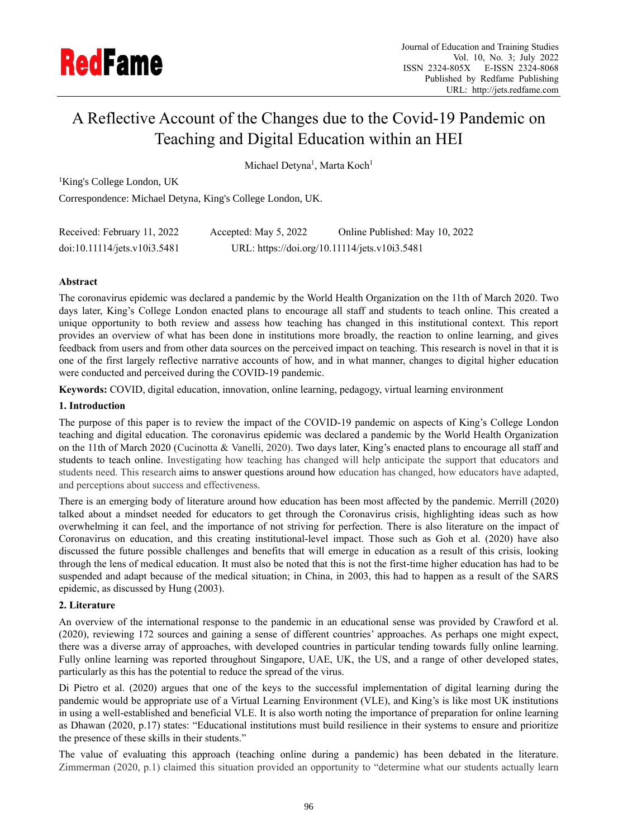

# A Reflective Account of the Changes due to the Covid-19 Pandemic on Teaching and Digital Education within an HEI

Michael Detyna<sup>1</sup>, Marta Koch<sup>1</sup>

<sup>1</sup>King's College London, UK

Correspondence: Michael Detyna, King's College London, UK.

| Received: February 11, 2022  | Accepted: May 5, 2022                         | Online Published: May 10, 2022 |
|------------------------------|-----------------------------------------------|--------------------------------|
| doi:10.11114/jets.v10i3.5481 | URL: https://doi.org/10.11114/jets.v10i3.5481 |                                |

# **Abstract**

The coronavirus epidemic was declared a pandemic by the World Health Organization on the 11th of March 2020. Two days later, King's College London enacted plans to encourage all staff and students to teach online. This created a unique opportunity to both review and assess how teaching has changed in this institutional context. This report provides an overview of what has been done in institutions more broadly, the reaction to online learning, and gives feedback from users and from other data sources on the perceived impact on teaching. This research is novel in that it is one of the first largely reflective narrative accounts of how, and in what manner, changes to digital higher education were conducted and perceived during the COVID-19 pandemic.

**Keywords:** COVID, digital education, innovation, online learning, pedagogy, virtual learning environment

# **1. Introduction**

The purpose of this paper is to review the impact of the COVID-19 pandemic on aspects of King's College London teaching and digital education. The coronavirus epidemic was declared a pandemic by the World Health Organization on the 11th of March 2020 (Cucinotta & Vanelli, 2020). Two days later, King's enacted plans to encourage all staff and students to teach online. Investigating how teaching has changed will help anticipate the support that educators and students need. This research aims to answer questions around how education has changed, how educators have adapted, and perceptions about success and effectiveness.

There is an emerging body of literature around how education has been most affected by the pandemic. Merrill (2020) talked about a mindset needed for educators to get through the Coronavirus crisis, highlighting ideas such as how overwhelming it can feel, and the importance of not striving for perfection. There is also literature on the impact of Coronavirus on education, and this creating institutional-level impact. Those such as Goh et al. (2020) have also discussed the future possible challenges and benefits that will emerge in education as a result of this crisis, looking through the lens of medical education. It must also be noted that this is not the first-time higher education has had to be suspended and adapt because of the medical situation; in China, in 2003, this had to happen as a result of the SARS epidemic, as discussed by Hung (2003).

# **2. Literature**

An overview of the international response to the pandemic in an educational sense was provided by Crawford et al. (2020), reviewing 172 sources and gaining a sense of different countries' approaches. As perhaps one might expect, there was a diverse array of approaches, with developed countries in particular tending towards fully online learning. Fully online learning was reported throughout Singapore, UAE, UK, the US, and a range of other developed states, particularly as this has the potential to reduce the spread of the virus.

Di Pietro et al. (2020) argues that one of the keys to the successful implementation of digital learning during the pandemic would be appropriate use of a Virtual Learning Environment (VLE), and King's is like most UK institutions in using a well-established and beneficial VLE. It is also worth noting the importance of preparation for online learning as Dhawan (2020, p.17) states: "Educational institutions must build resilience in their systems to ensure and prioritize the presence of these skills in their students."

The value of evaluating this approach (teaching online during a pandemic) has been debated in the literature. Zimmerman (2020, p.1) claimed this situation provided an opportunity to "determine what our students actually learn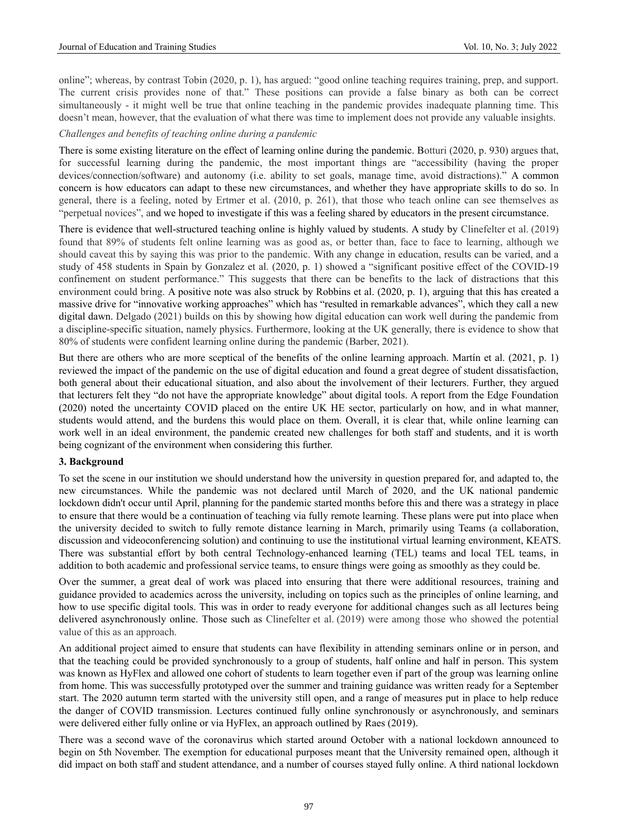online"; whereas, by contrast Tobin (2020, p. 1), has argued: "good online teaching requires training, prep, and support. The current crisis provides none of that." These positions can provide a false binary as both can be correct simultaneously - it might well be true that online teaching in the pandemic provides inadequate planning time. This doesn't mean, however, that the evaluation of what there was time to implement does not provide any valuable insights.

#### *Challenges and benefits of teaching online during a pandemic*

There is some existing literature on the effect of learning online during the pandemic. Botturi (2020, p. 930) argues that, for successful learning during the pandemic, the most important things are "accessibility (having the proper devices/connection/software) and autonomy (i.e. ability to set goals, manage time, avoid distractions)." A common concern is how educators can adapt to these new circumstances, and whether they have appropriate skills to do so. In general, there is a feeling, noted by Ertmer et al. (2010, p. 261), that those who teach online can see themselves as "perpetual novices", and we hoped to investigate if this was a feeling shared by educators in the present circumstance.

There is evidence that well-structured teaching online is highly valued by students. A study by Clinefelter et al. (2019) found that 89% of students felt online learning was as good as, or better than, face to face to learning, although we should caveat this by saying this was prior to the pandemic. With any change in education, results can be varied, and a study of 458 students in Spain by Gonzalez et al. (2020, p. 1) showed a "significant positive effect of the COVID-19 confinement on student performance." This suggests that there can be benefits to the lack of distractions that this environment could bring. A positive note was also struck by Robbins et al. (2020, p. 1), arguing that this has created a massive drive for "innovative working approaches" which has "resulted in remarkable advances", which they call a new digital dawn. Delgado (2021) builds on this by showing how digital education can work well during the pandemic from a discipline-specific situation, namely physics. Furthermore, looking at the UK generally, there is evidence to show that 80% of students were confident learning online during the pandemic (Barber, 2021).

But there are others who are more sceptical of the benefits of the online learning approach. Martín et al. (2021, p. 1) reviewed the impact of the pandemic on the use of digital education and found a great degree of student dissatisfaction, both general about their educational situation, and also about the involvement of their lecturers. Further, they argued that lecturers felt they "do not have the appropriate knowledge" about digital tools. A report from the Edge Foundation (2020) noted the uncertainty COVID placed on the entire UK HE sector, particularly on how, and in what manner, students would attend, and the burdens this would place on them. Overall, it is clear that, while online learning can work well in an ideal environment, the pandemic created new challenges for both staff and students, and it is worth being cognizant of the environment when considering this further.

#### **3. Background**

To set the scene in our institution we should understand how the university in question prepared for, and adapted to, the new circumstances. While the pandemic was not declared until March of 2020, and the UK national pandemic lockdown didn't occur until April, planning for the pandemic started months before this and there was a strategy in place to ensure that there would be a continuation of teaching via fully remote learning. These plans were put into place when the university decided to switch to fully remote distance learning in March, primarily using Teams (a collaboration, discussion and videoconferencing solution) and continuing to use the institutional virtual learning environment, KEATS. There was substantial effort by both central Technology-enhanced learning (TEL) teams and local TEL teams, in addition to both academic and professional service teams, to ensure things were going as smoothly as they could be.

Over the summer, a great deal of work was placed into ensuring that there were additional resources, training and guidance provided to academics across the university, including on topics such as the principles of online learning, and how to use specific digital tools. This was in order to ready everyone for additional changes such as all lectures being delivered asynchronously online. Those such as Clinefelter et al. (2019) were among those who showed the potential value of this as an approach.

An additional project aimed to ensure that students can have flexibility in attending seminars online or in person, and that the teaching could be provided synchronously to a group of students, half online and half in person. This system was known as HyFlex and allowed one cohort of students to learn together even if part of the group was learning online from home. This was successfully prototyped over the summer and training guidance was written ready for a September start. The 2020 autumn term started with the university still open, and a range of measures put in place to help reduce the danger of COVID transmission. Lectures continued fully online synchronously or asynchronously, and seminars were delivered either fully online or via HyFlex, an approach outlined by Raes (2019).

There was a second wave of the coronavirus which started around October with a national lockdown announced to begin on 5th November. The exemption for educational purposes meant that the University remained open, although it did impact on both staff and student attendance, and a number of courses stayed fully online. A third national lockdown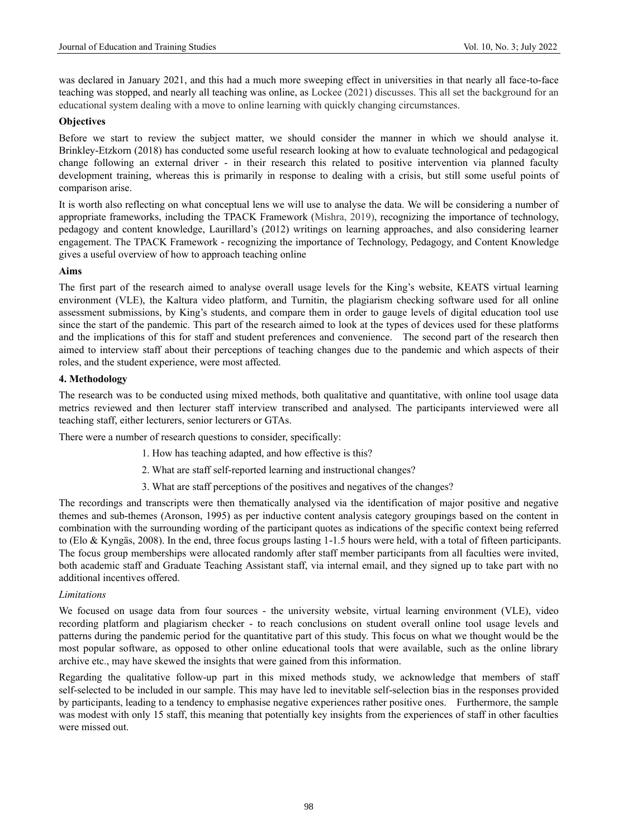was declared in January 2021, and this had a much more sweeping effect in universities in that nearly all face-to-face teaching was stopped, and nearly all teaching was online, as Lockee (2021) discusses. This all set the background for an educational system dealing with a move to online learning with quickly changing circumstances.

## **Objectives**

Before we start to review the subject matter, we should consider the manner in which we should analyse it. Brinkley-Etzkorn (2018) has conducted some useful research looking at how to evaluate technological and pedagogical change following an external driver - in their research this related to positive intervention via planned faculty development training, whereas this is primarily in response to dealing with a crisis, but still some useful points of comparison arise.

It is worth also reflecting on what conceptual lens we will use to analyse the data. We will be considering a number of appropriate frameworks, including the TPACK Framework (Mishra, 2019), recognizing the importance of technology, pedagogy and content knowledge, Laurillard's (2012) writings on learning approaches, and also considering learner engagement. The TPACK Framework - recognizing the importance of Technology, Pedagogy, and Content Knowledge gives a useful overview of how to approach teaching online

# **Aims**

The first part of the research aimed to analyse overall usage levels for the King's website, KEATS virtual learning environment (VLE), the Kaltura video platform, and Turnitin, the plagiarism checking software used for all online assessment submissions, by King's students, and compare them in order to gauge levels of digital education tool use since the start of the pandemic. This part of the research aimed to look at the types of devices used for these platforms and the implications of this for staff and student preferences and convenience. The second part of the research then aimed to interview staff about their perceptions of teaching changes due to the pandemic and which aspects of their roles, and the student experience, were most affected.

# **4. Methodology**

The research was to be conducted using mixed methods, both qualitative and quantitative, with online tool usage data metrics reviewed and then lecturer staff interview transcribed and analysed. The participants interviewed were all teaching staff, either lecturers, senior lecturers or GTAs.

There were a number of research questions to consider, specifically:

- 1. How has teaching adapted, and how effective is this?
- 2. What are staff self-reported learning and instructional changes?
- 3. What are staff perceptions of the positives and negatives of the changes?

The recordings and transcripts were then thematically analysed via the identification of major positive and negative themes and sub-themes (Aronson, 1995) as per inductive content analysis category groupings based on the content in combination with the surrounding wording of the participant quotes as indications of the specific context being referred to (Elo & Kyngäs, 2008). In the end, three focus groups lasting 1-1.5 hours were held, with a total of fifteen participants. The focus group memberships were allocated randomly after staff member participants from all faculties were invited, both academic staff and Graduate Teaching Assistant staff, via internal email, and they signed up to take part with no additional incentives offered.

## *Limitations*

We focused on usage data from four sources - the university website, virtual learning environment (VLE), video recording platform and plagiarism checker - to reach conclusions on student overall online tool usage levels and patterns during the pandemic period for the quantitative part of this study. This focus on what we thought would be the most popular software, as opposed to other online educational tools that were available, such as the online library archive etc., may have skewed the insights that were gained from this information.

Regarding the qualitative follow-up part in this mixed methods study, we acknowledge that members of staff self-selected to be included in our sample. This may have led to inevitable self-selection bias in the responses provided by participants, leading to a tendency to emphasise negative experiences rather positive ones. Furthermore, the sample was modest with only 15 staff, this meaning that potentially key insights from the experiences of staff in other faculties were missed out.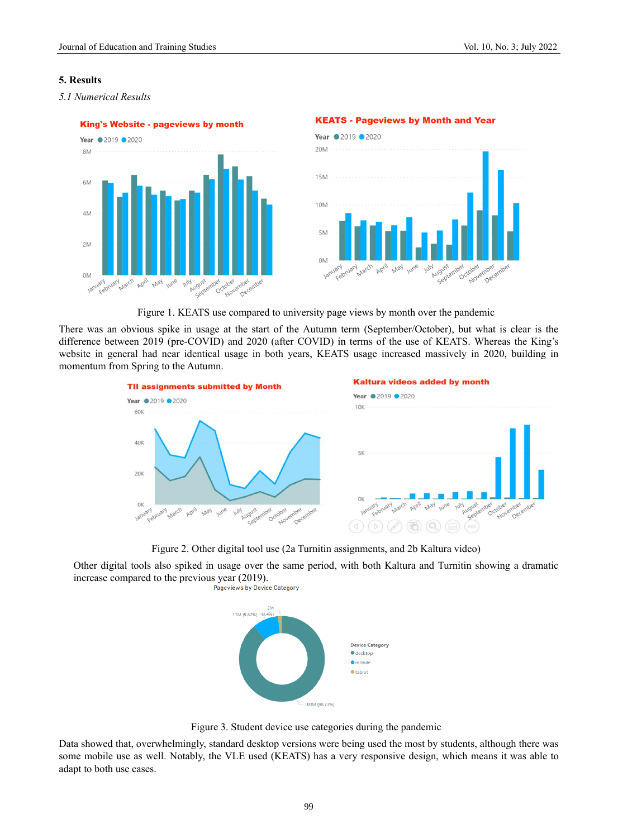# **5. Results**





#### **KEATS - Pageviews by Month and Year**



Figure 1. KEATS use compared to university page views by month over the pandemic

There was an obvious spike in usage at the start of the Autumn term (September/October), but what is clear is the difference between 2019 (pre-COVID) and 2020 (after COVID) in terms of the use of KEATS. Whereas the King's website in general had near identical usage in both years, KEATS usage increased massively in 2020, building in momentum from Spring to the Autumn.



Figure 2. Other digital tool use (2a Turnitin assignments, and 2b Kaltura video)

Other digital tools also spiked in usage over the same period, with both Kaltura and Turnitin showing a dramatic increase compared to the previous year (2019).<br>Pageviews by Device Category



Figure 3. Student device use categories during the pandemic

Data showed that, overwhelmingly, standard desktop versions were being used the most by students, although there was some mobile use as well. Notably, the VLE used (KEATS) has a very responsive design, which means it was able to adapt to both use cases.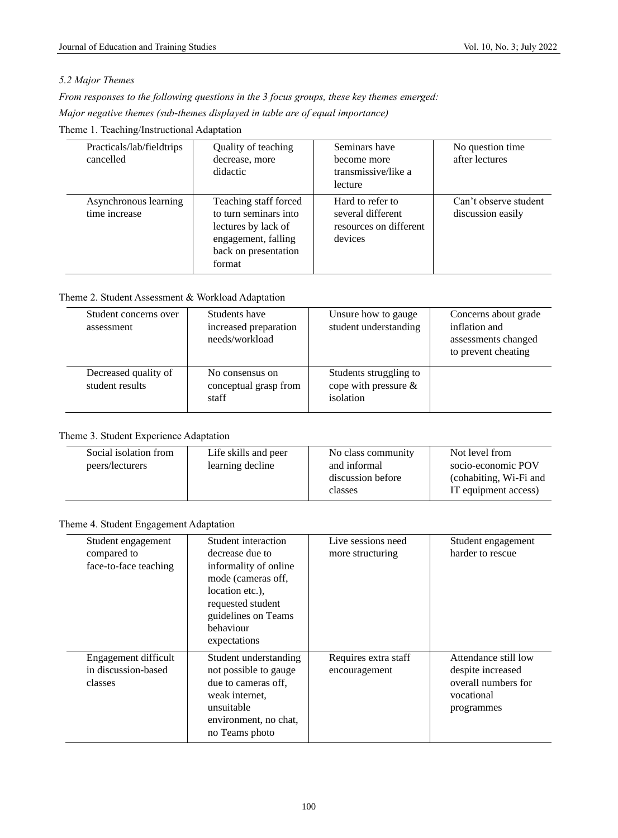# *5.2 Major Themes*

*From responses to the following questions in the 3 focus groups, these key themes emerged: Major negative themes (sub-themes displayed in table are of equal importance)*

Theme 1. Teaching/Instructional Adaptation

| Practicals/lab/fieldtrips<br>cancelled | Quality of teaching<br>decrease, more<br>didactic                                                                              | Seminars have<br>become more<br>transmissive/like a<br>lecture             | No question time<br>after lectures         |
|----------------------------------------|--------------------------------------------------------------------------------------------------------------------------------|----------------------------------------------------------------------------|--------------------------------------------|
| Asynchronous learning<br>time increase | Teaching staff forced<br>to turn seminars into<br>lectures by lack of<br>engagement, falling<br>back on presentation<br>format | Hard to refer to<br>several different<br>resources on different<br>devices | Can't observe student<br>discussion easily |

Theme 2. Student Assessment & Workload Adaptation

| Student concerns over<br>assessment     | Students have<br>increased preparation<br>needs/workload | Unsure how to gauge<br>student understanding                   | Concerns about grade<br>inflation and<br>assessments changed<br>to prevent cheating |
|-----------------------------------------|----------------------------------------------------------|----------------------------------------------------------------|-------------------------------------------------------------------------------------|
| Decreased quality of<br>student results | No consensus on<br>conceptual grasp from<br>staff        | Students struggling to<br>cope with pressure $\&$<br>isolation |                                                                                     |

## Theme 3. Student Experience Adaptation

| Social isolation from<br>peers/lecturers | Life skills and peer<br>learning decline | No class community<br>and informal<br>discussion before<br>classes | Not level from<br>socio-economic POV<br>(cohabiting, Wi-Fi and<br>IT equipment access) |
|------------------------------------------|------------------------------------------|--------------------------------------------------------------------|----------------------------------------------------------------------------------------|
|------------------------------------------|------------------------------------------|--------------------------------------------------------------------|----------------------------------------------------------------------------------------|

# Theme 4. Student Engagement Adaptation

| Student engagement<br>compared to<br>face-to-face teaching | Student interaction<br>decrease due to<br>informality of online.<br>mode (cameras off,<br>location etc.).<br>requested student<br>guidelines on Teams<br>behaviour<br>expectations | Live sessions need<br>more structuring | Student engagement<br>harder to rescue                                                       |
|------------------------------------------------------------|------------------------------------------------------------------------------------------------------------------------------------------------------------------------------------|----------------------------------------|----------------------------------------------------------------------------------------------|
| Engagement difficult<br>in discussion-based<br>classes     | Student understanding<br>not possible to gauge<br>due to cameras off,<br>weak internet.<br>unsuitable<br>environment, no chat,<br>no Teams photo                                   | Requires extra staff<br>encouragement  | Attendance still low<br>despite increased<br>overall numbers for<br>vocational<br>programmes |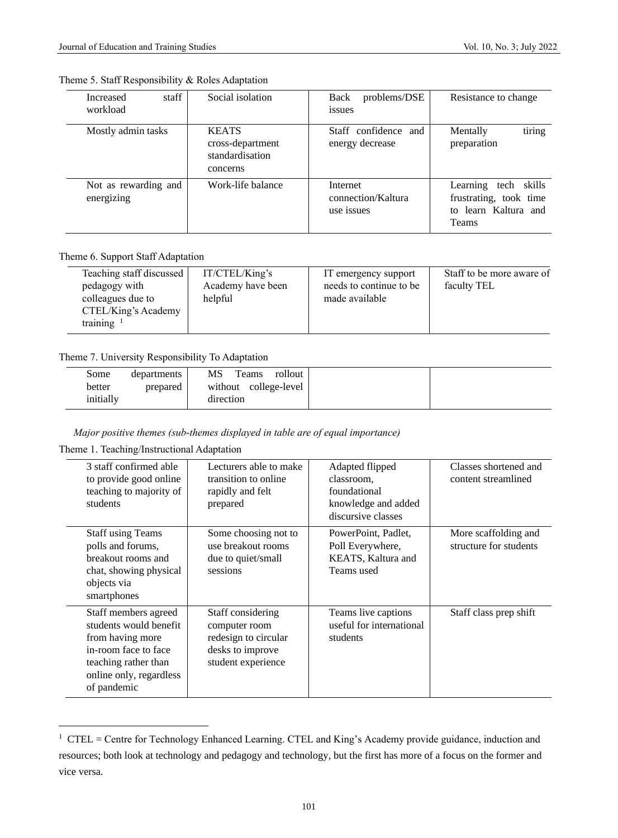| staff<br>Increased<br>workload     | Social isolation                                                | problems/DSE<br>Back<br>issues               | Resistance to change                                                               |
|------------------------------------|-----------------------------------------------------------------|----------------------------------------------|------------------------------------------------------------------------------------|
| Mostly admin tasks                 | <b>KEATS</b><br>cross-department<br>standardisation<br>concerns | Staff confidence and<br>energy decrease      | tiring<br>Mentally<br>preparation                                                  |
| Not as rewarding and<br>energizing | Work-life balance                                               | Internet<br>connection/Kaltura<br>use issues | tech skills<br>Learning<br>frustrating, took time<br>to learn Kaltura and<br>Teams |

# Theme 5. Staff Responsibility & Roles Adaptation

# Theme 6. Support Staff Adaptation

| Teaching staff discussed<br>pedagogy with<br>colleagues due to<br>CTEL/King's Academy<br>training $1$ | IT/CTEL/King's<br>Academy have been<br>helpful | IT emergency support<br>needs to continue to be<br>made available | Staff to be more aware of<br>faculty TEL |
|-------------------------------------------------------------------------------------------------------|------------------------------------------------|-------------------------------------------------------------------|------------------------------------------|
|-------------------------------------------------------------------------------------------------------|------------------------------------------------|-------------------------------------------------------------------|------------------------------------------|

# Theme 7. University Responsibility To Adaptation

| Some      | departments | MS<br>Teams<br>rollout   |
|-----------|-------------|--------------------------|
| better    | prepared    | without<br>college-level |
| initially |             | direction                |

# *Major positive themes (sub-themes displayed in table are of equal importance)*

Theme 1. Teaching/Instructional Adaptation

| 3 staff confirmed able<br>to provide good online<br>teaching to majority of<br>students                                                                      | Lecturers able to make<br>transition to online<br>rapidly and felt<br>prepared                       | Adapted flipped<br>classroom.<br>foundational<br>knowledge and added<br>discursive classes | Classes shortened and<br>content streamlined   |
|--------------------------------------------------------------------------------------------------------------------------------------------------------------|------------------------------------------------------------------------------------------------------|--------------------------------------------------------------------------------------------|------------------------------------------------|
| <b>Staff using Teams</b><br>polls and forums,<br>breakout rooms and<br>chat, showing physical<br>objects via<br>smartphones                                  | Some choosing not to<br>use breakout rooms<br>due to quiet/small<br>sessions                         | PowerPoint, Padlet,<br>Poll Everywhere,<br>KEATS, Kaltura and<br>Teams used                | More scaffolding and<br>structure for students |
| Staff members agreed<br>students would benefit<br>from having more<br>in-room face to face<br>teaching rather than<br>online only, regardless<br>of pandemic | Staff considering<br>computer room<br>redesign to circular<br>desks to improve<br>student experience | Teams live captions<br>useful for international<br>students                                | Staff class prep shift                         |

<sup>&</sup>lt;sup>1</sup> CTEL = Centre for Technology Enhanced Learning. CTEL and King's Academy provide guidance, induction and resources; both look at technology and pedagogy and technology, but the first has more of a focus on the former and vice versa.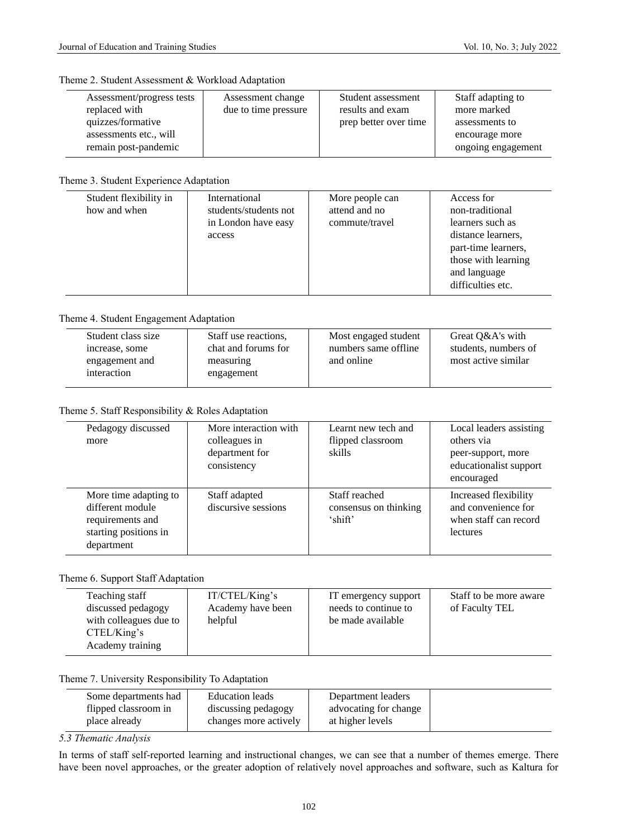#### Theme 2. Student Assessment & Workload Adaptation

| Assessment/progress tests | Assessment change    | Student assessment    | Staff adapting to  |
|---------------------------|----------------------|-----------------------|--------------------|
| replaced with             | due to time pressure | results and exam      | more marked        |
| quizzes/formative         |                      | prep better over time | assessments to     |
| assessments etc., will    |                      |                       | encourage more     |
| remain post-pandemic      |                      |                       | ongoing engagement |
|                           |                      |                       |                    |

## Theme 3. Student Experience Adaptation

| International<br>Access for                                                                                                                                                                                                                               |                        |                 |  |
|-----------------------------------------------------------------------------------------------------------------------------------------------------------------------------------------------------------------------------------------------------------|------------------------|-----------------|--|
| attend and no<br>how and when<br>students/students not<br>non-traditional<br>in London have easy<br>commute/travel<br>learners such as<br>distance learners,<br>access<br>part-time learners,<br>those with learning<br>and language<br>difficulties etc. | Student flexibility in | More people can |  |

## Theme 4. Student Engagement Adaptation

| Student class size | Staff use reactions, | Most engaged student | Great Q&A's with     |
|--------------------|----------------------|----------------------|----------------------|
| increase, some     | chat and forums for  | numbers same offline | students, numbers of |
| engagement and     | measuring            | and online           | most active similar  |
| interaction        | engagement           |                      |                      |
|                    |                      |                      |                      |

# Theme 5. Staff Responsibility & Roles Adaptation

| Pedagogy discussed<br>more                                                                           | More interaction with<br>colleagues in<br>department for<br>consistency | Learnt new tech and<br>flipped classroom<br>skills | Local leaders assisting<br>others via<br>peer-support, more<br>educationalist support<br>encouraged |
|------------------------------------------------------------------------------------------------------|-------------------------------------------------------------------------|----------------------------------------------------|-----------------------------------------------------------------------------------------------------|
| More time adapting to<br>different module<br>requirements and<br>starting positions in<br>department | Staff adapted<br>discursive sessions                                    | Staff reached<br>consensus on thinking<br>'shift'  | Increased flexibility<br>and convenience for<br>when staff can record<br>lectures                   |

# Theme 6. Support Staff Adaptation

| Teaching staff<br>discussed pedagogy<br>with colleagues due to<br>CTEL/King's | IT/CTEL/King's<br>Academy have been<br>helpful | IT emergency support<br>needs to continue to<br>be made available | Staff to be more aware<br>of Faculty TEL |
|-------------------------------------------------------------------------------|------------------------------------------------|-------------------------------------------------------------------|------------------------------------------|
| Academy training                                                              |                                                |                                                                   |                                          |

# Theme 7. University Responsibility To Adaptation

| Some departments had | <b>Education</b> leads | Department leaders    |  |
|----------------------|------------------------|-----------------------|--|
| flipped classroom in | discussing pedagogy    | advocating for change |  |
| place already        | changes more actively  | at higher levels      |  |

# *5.3 Thematic Analysis*

 $\overline{\phantom{0}}$ 

In terms of staff self-reported learning and instructional changes, we can see that a number of themes emerge. There have been novel approaches, or the greater adoption of relatively novel approaches and software, such as Kaltura for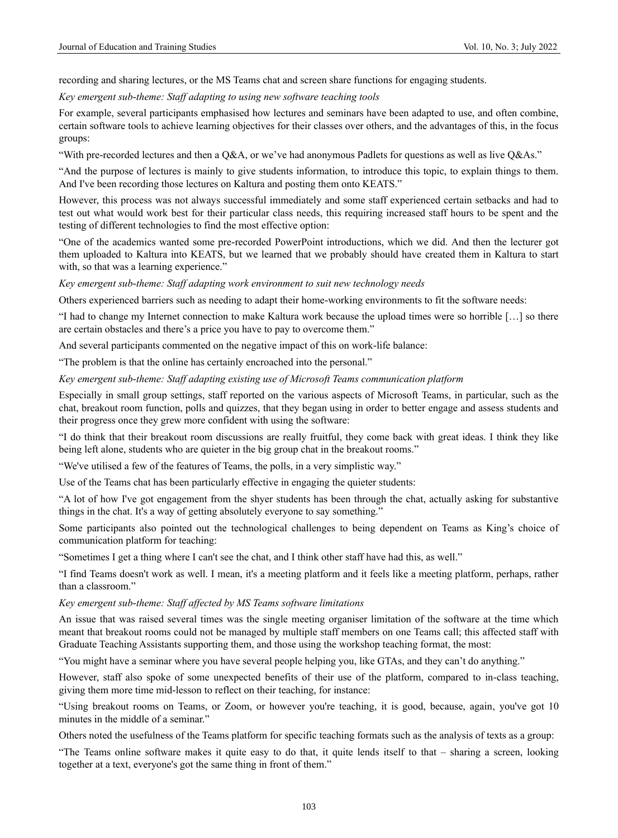recording and sharing lectures, or the MS Teams chat and screen share functions for engaging students.

*Key emergent sub-theme: Staff adapting to using new software teaching tools*

For example, several participants emphasised how lectures and seminars have been adapted to use, and often combine, certain software tools to achieve learning objectives for their classes over others, and the advantages of this, in the focus groups:

"With pre-recorded lectures and then a Q&A, or we've had anonymous Padlets for questions as well as live Q&As."

"And the purpose of lectures is mainly to give students information, to introduce this topic, to explain things to them. And I've been recording those lectures on Kaltura and posting them onto KEATS."

However, this process was not always successful immediately and some staff experienced certain setbacks and had to test out what would work best for their particular class needs, this requiring increased staff hours to be spent and the testing of different technologies to find the most effective option:

"One of the academics wanted some pre-recorded PowerPoint introductions, which we did. And then the lecturer got them uploaded to Kaltura into KEATS, but we learned that we probably should have created them in Kaltura to start with, so that was a learning experience."

*Key emergent sub-theme: Staff adapting work environment to suit new technology needs*

Others experienced barriers such as needing to adapt their home-working environments to fit the software needs:

"I had to change my Internet connection to make Kaltura work because the upload times were so horrible […] so there are certain obstacles and there's a price you have to pay to overcome them."

And several participants commented on the negative impact of this on work-life balance:

"The problem is that the online has certainly encroached into the personal."

#### *Key emergent sub-theme: Staff adapting existing use of Microsoft Teams communication platform*

Especially in small group settings, staff reported on the various aspects of Microsoft Teams, in particular, such as the chat, breakout room function, polls and quizzes, that they began using in order to better engage and assess students and their progress once they grew more confident with using the software:

"I do think that their breakout room discussions are really fruitful, they come back with great ideas. I think they like being left alone, students who are quieter in the big group chat in the breakout rooms."

"We've utilised a few of the features of Teams, the polls, in a very simplistic way."

Use of the Teams chat has been particularly effective in engaging the quieter students:

"A lot of how I've got engagement from the shyer students has been through the chat, actually asking for substantive things in the chat. It's a way of getting absolutely everyone to say something."

Some participants also pointed out the technological challenges to being dependent on Teams as King's choice of communication platform for teaching:

"Sometimes I get a thing where I can't see the chat, and I think other staff have had this, as well."

"I find Teams doesn't work as well. I mean, it's a meeting platform and it feels like a meeting platform, perhaps, rather than a classroom."

#### *Key emergent sub-theme: Staff affected by MS Teams software limitations*

An issue that was raised several times was the single meeting organiser limitation of the software at the time which meant that breakout rooms could not be managed by multiple staff members on one Teams call; this affected staff with Graduate Teaching Assistants supporting them, and those using the workshop teaching format, the most:

"You might have a seminar where you have several people helping you, like GTAs, and they can't do anything."

However, staff also spoke of some unexpected benefits of their use of the platform, compared to in-class teaching, giving them more time mid-lesson to reflect on their teaching, for instance:

"Using breakout rooms on Teams, or Zoom, or however you're teaching, it is good, because, again, you've got 10 minutes in the middle of a seminar."

Others noted the usefulness of the Teams platform for specific teaching formats such as the analysis of texts as a group:

"The Teams online software makes it quite easy to do that, it quite lends itself to that – sharing a screen, looking together at a text, everyone's got the same thing in front of them."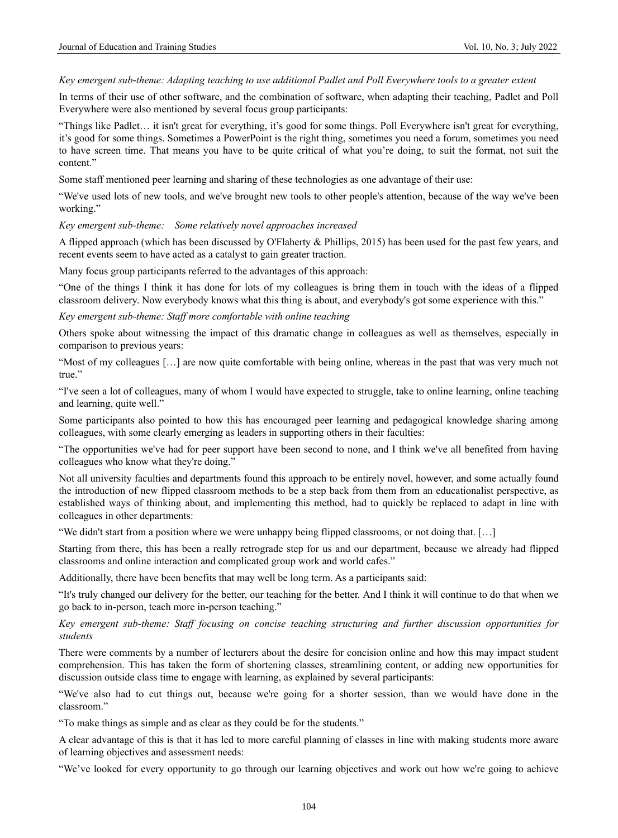#### *Key emergent sub-theme: Adapting teaching to use additional Padlet and Poll Everywhere tools to a greater extent*

In terms of their use of other software, and the combination of software, when adapting their teaching, Padlet and Poll Everywhere were also mentioned by several focus group participants:

"Things like Padlet… it isn't great for everything, it's good for some things. Poll Everywhere isn't great for everything, it's good for some things. Sometimes a PowerPoint is the right thing, sometimes you need a forum, sometimes you need to have screen time. That means you have to be quite critical of what you're doing, to suit the format, not suit the content"

Some staff mentioned peer learning and sharing of these technologies as one advantage of their use:

"We've used lots of new tools, and we've brought new tools to other people's attention, because of the way we've been working."

#### *Key emergent sub-theme: Some relatively novel approaches increased*

A flipped approach (which has been discussed by O'Flaherty & Phillips, 2015) has been used for the past few years, and recent events seem to have acted as a catalyst to gain greater traction.

Many focus group participants referred to the advantages of this approach:

"One of the things I think it has done for lots of my colleagues is bring them in touch with the ideas of a flipped classroom delivery. Now everybody knows what this thing is about, and everybody's got some experience with this."

*Key emergent sub-theme: Staff more comfortable with online teaching*

Others spoke about witnessing the impact of this dramatic change in colleagues as well as themselves, especially in comparison to previous years:

"Most of my colleagues […] are now quite comfortable with being online, whereas in the past that was very much not true."

"I've seen a lot of colleagues, many of whom I would have expected to struggle, take to online learning, online teaching and learning, quite well."

Some participants also pointed to how this has encouraged peer learning and pedagogical knowledge sharing among colleagues, with some clearly emerging as leaders in supporting others in their faculties:

"The opportunities we've had for peer support have been second to none, and I think we've all benefited from having colleagues who know what they're doing."

Not all university faculties and departments found this approach to be entirely novel, however, and some actually found the introduction of new flipped classroom methods to be a step back from them from an educationalist perspective, as established ways of thinking about, and implementing this method, had to quickly be replaced to adapt in line with colleagues in other departments:

"We didn't start from a position where we were unhappy being flipped classrooms, or not doing that. […]

Starting from there, this has been a really retrograde step for us and our department, because we already had flipped classrooms and online interaction and complicated group work and world cafes."

Additionally, there have been benefits that may well be long term. As a participants said:

"It's truly changed our delivery for the better, our teaching for the better. And I think it will continue to do that when we go back to in-person, teach more in-person teaching."

*Key emergent sub-theme: Staff focusing on concise teaching structuring and further discussion opportunities for students*

There were comments by a number of lecturers about the desire for concision online and how this may impact student comprehension. This has taken the form of shortening classes, streamlining content, or adding new opportunities for discussion outside class time to engage with learning, as explained by several participants:

"We've also had to cut things out, because we're going for a shorter session, than we would have done in the classroom."

"To make things as simple and as clear as they could be for the students."

A clear advantage of this is that it has led to more careful planning of classes in line with making students more aware of learning objectives and assessment needs:

"We've looked for every opportunity to go through our learning objectives and work out how we're going to achieve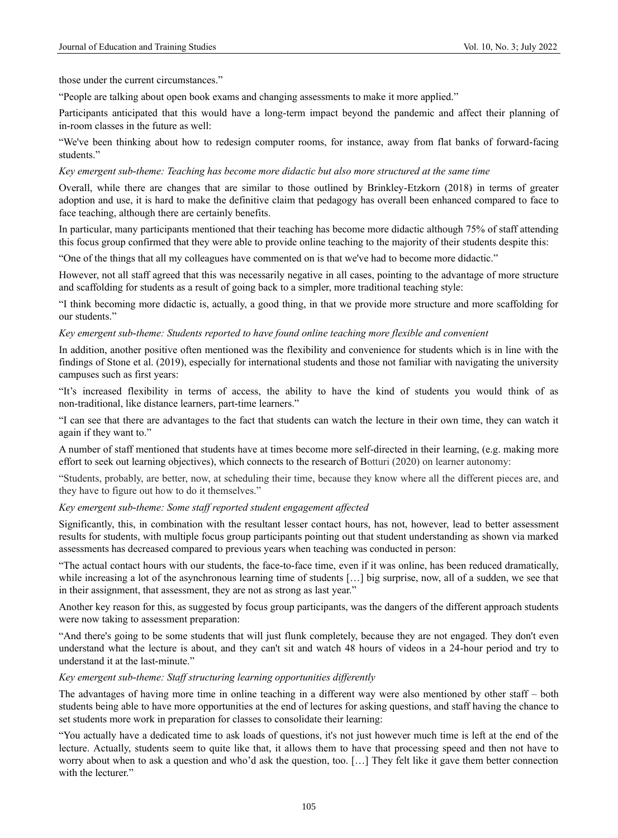those under the current circumstances."

"People are talking about open book exams and changing assessments to make it more applied."

Participants anticipated that this would have a long-term impact beyond the pandemic and affect their planning of in-room classes in the future as well:

"We've been thinking about how to redesign computer rooms, for instance, away from flat banks of forward-facing students."

#### *Key emergent sub-theme: Teaching has become more didactic but also more structured at the same time*

Overall, while there are changes that are similar to those outlined by Brinkley-Etzkorn (2018) in terms of greater adoption and use, it is hard to make the definitive claim that pedagogy has overall been enhanced compared to face to face teaching, although there are certainly benefits.

In particular, many participants mentioned that their teaching has become more didactic although 75% of staff attending this focus group confirmed that they were able to provide online teaching to the majority of their students despite this:

"One of the things that all my colleagues have commented on is that we've had to become more didactic."

However, not all staff agreed that this was necessarily negative in all cases, pointing to the advantage of more structure and scaffolding for students as a result of going back to a simpler, more traditional teaching style:

"I think becoming more didactic is, actually, a good thing, in that we provide more structure and more scaffolding for our students."

#### *Key emergent sub-theme: Students reported to have found online teaching more flexible and convenient*

In addition, another positive often mentioned was the flexibility and convenience for students which is in line with the findings of Stone et al. (2019), especially for international students and those not familiar with navigating the university campuses such as first years:

"It's increased flexibility in terms of access, the ability to have the kind of students you would think of as non-traditional, like distance learners, part-time learners."

"I can see that there are advantages to the fact that students can watch the lecture in their own time, they can watch it again if they want to."

A number of staff mentioned that students have at times become more self-directed in their learning, (e.g. making more effort to seek out learning objectives), which connects to the research of Botturi (2020) on learner autonomy:

"Students, probably, are better, now, at scheduling their time, because they know where all the different pieces are, and they have to figure out how to do it themselves."

#### *Key emergent sub-theme: Some staff reported student engagement affected*

Significantly, this, in combination with the resultant lesser contact hours, has not, however, lead to better assessment results for students, with multiple focus group participants pointing out that student understanding as shown via marked assessments has decreased compared to previous years when teaching was conducted in person:

"The actual contact hours with our students, the face-to-face time, even if it was online, has been reduced dramatically, while increasing a lot of the asynchronous learning time of students [...] big surprise, now, all of a sudden, we see that in their assignment, that assessment, they are not as strong as last year."

Another key reason for this, as suggested by focus group participants, was the dangers of the different approach students were now taking to assessment preparation:

"And there's going to be some students that will just flunk completely, because they are not engaged. They don't even understand what the lecture is about, and they can't sit and watch 48 hours of videos in a 24-hour period and try to understand it at the last-minute."

#### *Key emergent sub-theme: Staff structuring learning opportunities differently*

The advantages of having more time in online teaching in a different way were also mentioned by other staff – both students being able to have more opportunities at the end of lectures for asking questions, and staff having the chance to set students more work in preparation for classes to consolidate their learning:

"You actually have a dedicated time to ask loads of questions, it's not just however much time is left at the end of the lecture. Actually, students seem to quite like that, it allows them to have that processing speed and then not have to worry about when to ask a question and who'd ask the question, too. […] They felt like it gave them better connection with the lecturer."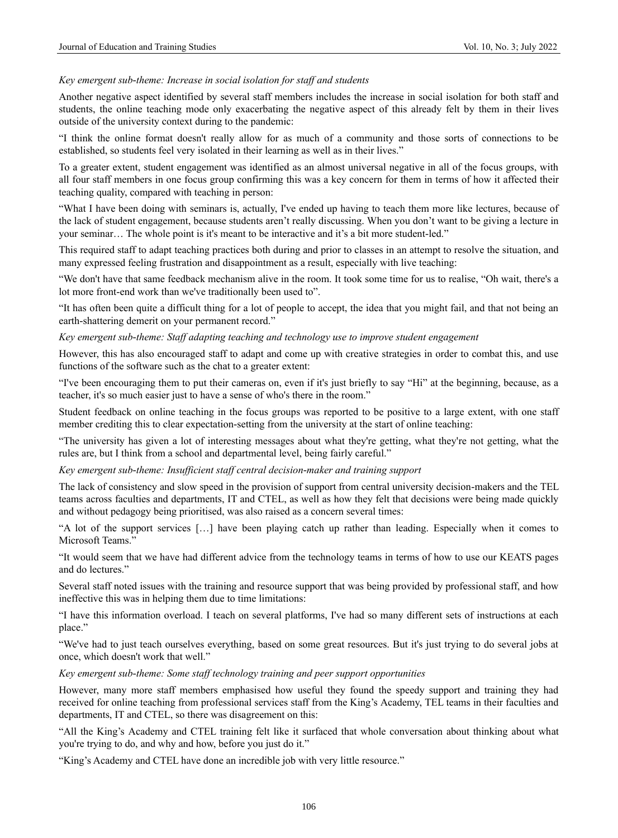#### *Key emergent sub-theme: Increase in social isolation for staff and students*

Another negative aspect identified by several staff members includes the increase in social isolation for both staff and students, the online teaching mode only exacerbating the negative aspect of this already felt by them in their lives outside of the university context during to the pandemic:

"I think the online format doesn't really allow for as much of a community and those sorts of connections to be established, so students feel very isolated in their learning as well as in their lives."

To a greater extent, student engagement was identified as an almost universal negative in all of the focus groups, with all four staff members in one focus group confirming this was a key concern for them in terms of how it affected their teaching quality, compared with teaching in person:

"What I have been doing with seminars is, actually, I've ended up having to teach them more like lectures, because of the lack of student engagement, because students aren't really discussing. When you don't want to be giving a lecture in your seminar… The whole point is it's meant to be interactive and it's a bit more student-led."

This required staff to adapt teaching practices both during and prior to classes in an attempt to resolve the situation, and many expressed feeling frustration and disappointment as a result, especially with live teaching:

"We don't have that same feedback mechanism alive in the room. It took some time for us to realise, "Oh wait, there's a lot more front-end work than we've traditionally been used to".

"It has often been quite a difficult thing for a lot of people to accept, the idea that you might fail, and that not being an earth-shattering demerit on your permanent record."

*Key emergent sub-theme: Staff adapting teaching and technology use to improve student engagement*

However, this has also encouraged staff to adapt and come up with creative strategies in order to combat this, and use functions of the software such as the chat to a greater extent:

"I've been encouraging them to put their cameras on, even if it's just briefly to say "Hi" at the beginning, because, as a teacher, it's so much easier just to have a sense of who's there in the room."

Student feedback on online teaching in the focus groups was reported to be positive to a large extent, with one staff member crediting this to clear expectation-setting from the university at the start of online teaching:

"The university has given a lot of interesting messages about what they're getting, what they're not getting, what the rules are, but I think from a school and departmental level, being fairly careful."

*Key emergent sub-theme: Insufficient staff central decision-maker and training support*

The lack of consistency and slow speed in the provision of support from central university decision-makers and the TEL teams across faculties and departments, IT and CTEL, as well as how they felt that decisions were being made quickly and without pedagogy being prioritised, was also raised as a concern several times:

"A lot of the support services […] have been playing catch up rather than leading. Especially when it comes to Microsoft Teams."

"It would seem that we have had different advice from the technology teams in terms of how to use our KEATS pages and do lectures."

Several staff noted issues with the training and resource support that was being provided by professional staff, and how ineffective this was in helping them due to time limitations:

"I have this information overload. I teach on several platforms, I've had so many different sets of instructions at each place."

"We've had to just teach ourselves everything, based on some great resources. But it's just trying to do several jobs at once, which doesn't work that well."

*Key emergent sub-theme: Some staff technology training and peer support opportunities*

However, many more staff members emphasised how useful they found the speedy support and training they had received for online teaching from professional services staff from the King's Academy, TEL teams in their faculties and departments, IT and CTEL, so there was disagreement on this:

"All the King's Academy and CTEL training felt like it surfaced that whole conversation about thinking about what you're trying to do, and why and how, before you just do it."

"King's Academy and CTEL have done an incredible job with very little resource."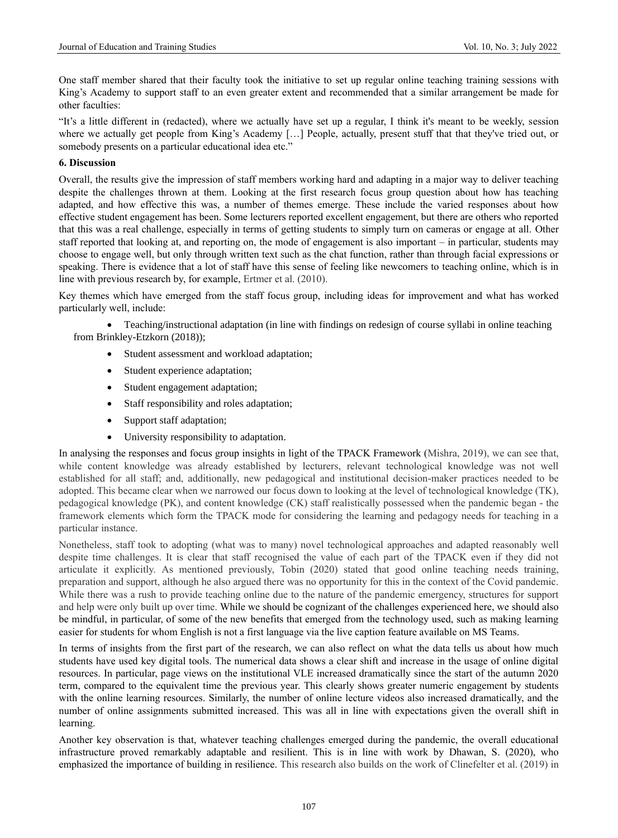One staff member shared that their faculty took the initiative to set up regular online teaching training sessions with King's Academy to support staff to an even greater extent and recommended that a similar arrangement be made for other faculties:

"It's a little different in (redacted), where we actually have set up a regular, I think it's meant to be weekly, session where we actually get people from King's Academy […] People, actually, present stuff that that they've tried out, or somebody presents on a particular educational idea etc."

# **6. Discussion**

Overall, the results give the impression of staff members working hard and adapting in a major way to deliver teaching despite the challenges thrown at them. Looking at the first research focus group question about how has teaching adapted, and how effective this was, a number of themes emerge. These include the varied responses about how effective student engagement has been. Some lecturers reported excellent engagement, but there are others who reported that this was a real challenge, especially in terms of getting students to simply turn on cameras or engage at all. Other staff reported that looking at, and reporting on, the mode of engagement is also important – in particular, students may choose to engage well, but only through written text such as the chat function, rather than through facial expressions or speaking. There is evidence that a lot of staff have this sense of feeling like newcomers to teaching online, which is in line with previous research by, for example, Ertmer et al. (2010).

Key themes which have emerged from the staff focus group, including ideas for improvement and what has worked particularly well, include:

• Teaching/instructional adaptation (in line with findings on redesign of course syllabi in online teaching from Brinkley-Etzkorn (2018));

- Student assessment and workload adaptation;
- Student experience adaptation;
- Student engagement adaptation;
- Staff responsibility and roles adaptation;
- Support staff adaptation;
- University responsibility to adaptation.

In analysing the responses and focus group insights in light of the TPACK Framework (Mishra, 2019), we can see that, while content knowledge was already established by lecturers, relevant technological knowledge was not well established for all staff; and, additionally, new pedagogical and institutional decision-maker practices needed to be adopted. This became clear when we narrowed our focus down to looking at the level of technological knowledge (TK), pedagogical knowledge (PK), and content knowledge (CK) staff realistically possessed when the pandemic began - the framework elements which form the TPACK mode for considering the learning and pedagogy needs for teaching in a particular instance.

Nonetheless, staff took to adopting (what was to many) novel technological approaches and adapted reasonably well despite time challenges. It is clear that staff recognised the value of each part of the TPACK even if they did not articulate it explicitly. As mentioned previously, Tobin (2020) stated that good online teaching needs training, preparation and support, although he also argued there was no opportunity for this in the context of the Covid pandemic. While there was a rush to provide teaching online due to the nature of the pandemic emergency, structures for support and help were only built up over time. While we should be cognizant of the challenges experienced here, we should also be mindful, in particular, of some of the new benefits that emerged from the technology used, such as making learning easier for students for whom English is not a first language via the live caption feature available on MS Teams.

In terms of insights from the first part of the research, we can also reflect on what the data tells us about how much students have used key digital tools. The numerical data shows a clear shift and increase in the usage of online digital resources. In particular, page views on the institutional VLE increased dramatically since the start of the autumn 2020 term, compared to the equivalent time the previous year. This clearly shows greater numeric engagement by students with the online learning resources. Similarly, the number of online lecture videos also increased dramatically, and the number of online assignments submitted increased. This was all in line with expectations given the overall shift in learning.

Another key observation is that, whatever teaching challenges emerged during the pandemic, the overall educational infrastructure proved remarkably adaptable and resilient. This is in line with work by Dhawan, S. (2020), who emphasized the importance of building in resilience. This research also builds on the work of Clinefelter et al. (2019) in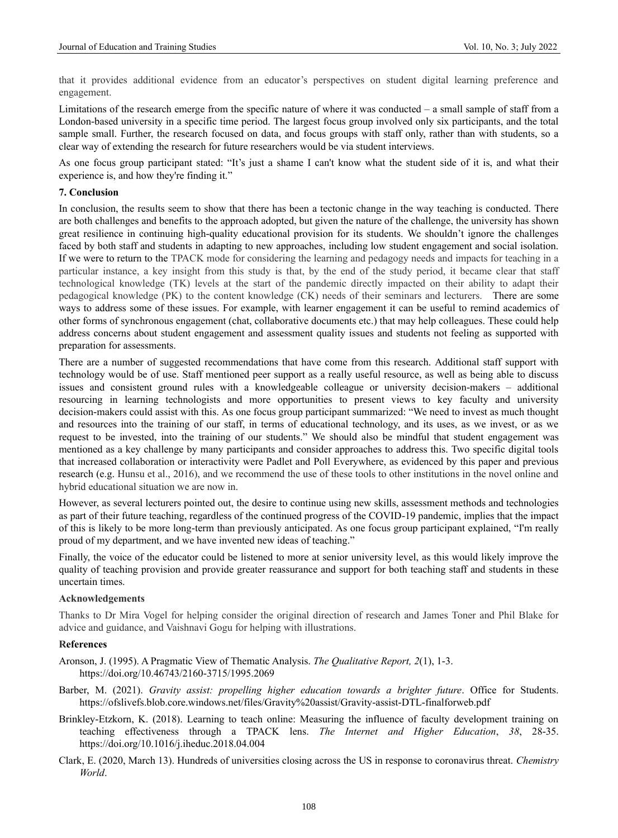that it provides additional evidence from an educator's perspectives on student digital learning preference and engagement.

Limitations of the research emerge from the specific nature of where it was conducted – a small sample of staff from a London-based university in a specific time period. The largest focus group involved only six participants, and the total sample small. Further, the research focused on data, and focus groups with staff only, rather than with students, so a clear way of extending the research for future researchers would be via student interviews.

As one focus group participant stated: "It's just a shame I can't know what the student side of it is, and what their experience is, and how they're finding it."

#### **7. Conclusion**

In conclusion, the results seem to show that there has been a tectonic change in the way teaching is conducted. There are both challenges and benefits to the approach adopted, but given the nature of the challenge, the university has shown great resilience in continuing high-quality educational provision for its students. We shouldn't ignore the challenges faced by both staff and students in adapting to new approaches, including low student engagement and social isolation. If we were to return to the TPACK mode for considering the learning and pedagogy needs and impacts for teaching in a particular instance, a key insight from this study is that, by the end of the study period, it became clear that staff technological knowledge (TK) levels at the start of the pandemic directly impacted on their ability to adapt their pedagogical knowledge (PK) to the content knowledge (CK) needs of their seminars and lecturers. There are some ways to address some of these issues. For example, with learner engagement it can be useful to remind academics of other forms of synchronous engagement (chat, collaborative documents etc.) that may help colleagues. These could help address concerns about student engagement and assessment quality issues and students not feeling as supported with preparation for assessments.

There are a number of suggested recommendations that have come from this research. Additional staff support with technology would be of use. Staff mentioned peer support as a really useful resource, as well as being able to discuss issues and consistent ground rules with a knowledgeable colleague or university decision-makers – additional resourcing in learning technologists and more opportunities to present views to key faculty and university decision-makers could assist with this. As one focus group participant summarized: "We need to invest as much thought and resources into the training of our staff, in terms of educational technology, and its uses, as we invest, or as we request to be invested, into the training of our students." We should also be mindful that student engagement was mentioned as a key challenge by many participants and consider approaches to address this. Two specific digital tools that increased collaboration or interactivity were Padlet and Poll Everywhere, as evidenced by this paper and previous research (e.g. Hunsu et al., 2016), and we recommend the use of these tools to other institutions in the novel online and hybrid educational situation we are now in.

However, as several lecturers pointed out, the desire to continue using new skills, assessment methods and technologies as part of their future teaching, regardless of the continued progress of the COVID-19 pandemic, implies that the impact of this is likely to be more long-term than previously anticipated. As one focus group participant explained, "I'm really proud of my department, and we have invented new ideas of teaching."

Finally, the voice of the educator could be listened to more at senior university level, as this would likely improve the quality of teaching provision and provide greater reassurance and support for both teaching staff and students in these uncertain times.

#### **Acknowledgements**

Thanks to Dr Mira Vogel for helping consider the original direction of research and James Toner and Phil Blake for advice and guidance, and Vaishnavi Gogu for helping with illustrations.

#### **References**

- Aronson, J. (1995). A Pragmatic View of Thematic Analysis. *The Qualitative Report, 2*(1), 1-3. https://doi.org/10.46743/2160-3715/1995.2069
- Barber, M. (2021). *Gravity assist: propelling higher education towards a brighter future*. Office for Students. <https://ofslivefs.blob.core.windows.net/files/Gravity%20assist/Gravity-assist-DTL-finalforweb.pdf>
- Brinkley-Etzkorn, K. (2018). Learning to teach online: Measuring the influence of faculty development training on teaching effectiveness through a TPACK lens. *The Internet and Higher Education*, *38*, 28-35. <https://doi.org/10.1016/j.iheduc.2018.04.004>
- Clark, E. (2020, March 13). Hundreds of universities closing across the US in response to coronavirus threat. *Chemistry World*.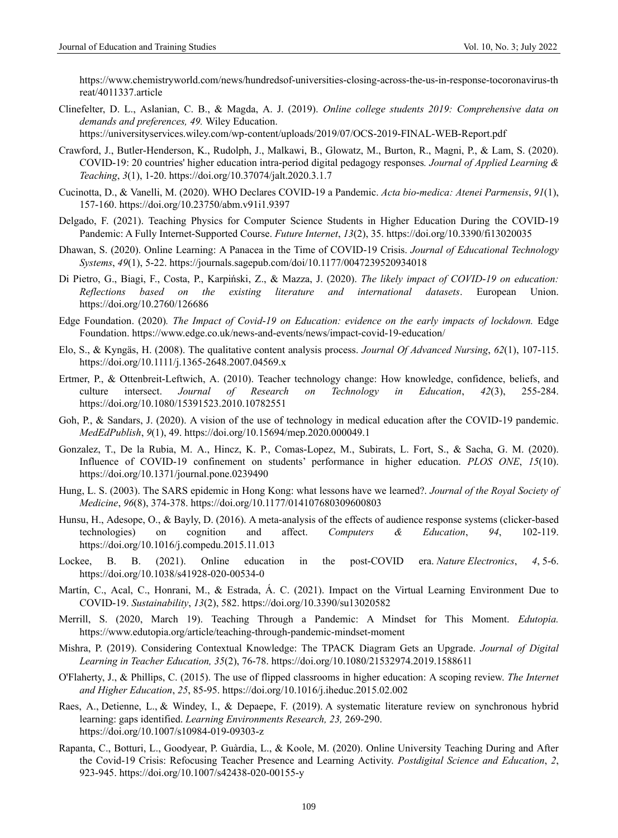[https://www.chemistryworld.com/news/hundredsof-universities-closing-across-the-us-in-response-tocoronavirus-th](https://www.chemistryworld.com/news/hundredsof-universities-closing-across-the-us-in-response-tocoronavirus-threat/4011337.article) [reat/4011337.article](https://www.chemistryworld.com/news/hundredsof-universities-closing-across-the-us-in-response-tocoronavirus-threat/4011337.article)

Clinefelter, D. L., Aslanian, C. B., & Magda, A. J. (2019). *Online college students 2019: Comprehensive data on demands and preferences, 49.* Wiley Education.

https://universityservices.wiley.com/wp-content/uploads/2019/07/OCS-2019-FINAL-WEB-Report.pdf

- Crawford, J., Butler-Henderson, K., Rudolph, J., Malkawi, B., Glowatz, M., Burton, R., Magni, P., & Lam, S. (2020). COVID-19: 20 countries' higher education intra-period digital pedagogy responses*. Journal of Applied Learning & Teaching*, *3*(1), 1-20.<https://doi.org/10.37074/jalt.2020.3.1.7>
- Cucinotta, D., & Vanelli, M. (2020). WHO Declares COVID-19 a Pandemic. *Acta bio-medica: Atenei Parmensis*, *91*(1), 157-160.<https://doi.org/10.23750/abm.v91i1.9397>
- Delgado, F. (2021). Teaching Physics for Computer Science Students in Higher Education During the COVID-19 Pandemic: A Fully Internet-Supported Course. *Future Internet*, *13*(2), 35[. https://doi.org/10.3390/fi13020035](https://doi.org/10.3390/fi13020035)
- Dhawan, S. (2020). Online Learning: A Panacea in the Time of COVID-19 Crisis. *Journal of Educational Technology Systems*, *49*(1), 5-22.<https://journals.sagepub.com/doi/10.1177/0047239520934018>
- Di Pietro, G., Biagi, F., Costa, P., Karpiński, Z., & Mazza, J. (2020). *The likely impact of COVID-19 on education: Reflections based on the existing literature and international datasets*. European Union. https://doi.org/10.2760/126686
- Edge Foundation. (2020)*. The Impact of Covid-19 on Education: evidence on the early impacts of lockdown.* Edge Foundation.<https://www.edge.co.uk/news-and-events/news/impact-covid-19-education/>
- Elo, S., & Kyngäs, H. (2008). The qualitative content analysis process. *Journal Of Advanced Nursing*, *62*(1), 107-115. https://doi.org/10.1111/j.1365-2648.2007.04569.x
- Ertmer, P., & Ottenbreit-Leftwich, A. (2010). Teacher technology change: How knowledge, confidence, beliefs, and culture intersect. *Journal of Research on Technology in Education*, *42*(3), 255-284. <https://doi.org/10.1080/15391523.2010.10782551>
- Goh, P., & Sandars, J. (2020). A vision of the use of technology in medical education after the COVID-19 pandemic. *MedEdPublish*, *9*(1), 49.<https://doi.org/10.15694/mep.2020.000049.1>
- Gonzalez, T., De la Rubia, M. A., Hincz, K. P., Comas-Lopez, M., Subirats, L. Fort, S., & Sacha, G. M. (2020). Influence of COVID-19 confinement on students' performance in higher education. *PLOS ONE*, *15*(10). <https://doi.org/10.1371/journal.pone.0239490>
- Hung, L. S. (2003). The SARS epidemic in Hong Kong: what lessons have we learned?. *Journal of the Royal Society of Medicine*, *96*(8), 374-378.<https://doi.org/10.1177/014107680309600803>
- Hunsu, H., Adesope, O., & Bayly, D. (2016). A meta-analysis of the effects of audience response systems (clicker-based technologies) on cognition and affect. *Computers & Education*, *94*, 102-119. <https://doi.org/10.1016/j.compedu.2015.11.013>
- Lockee, B. B. (2021). Online education in the post-COVID era. *Nature Electronics*, *4*, 5-6. <https://doi.org/10.1038/s41928-020-00534-0>
- Martín, C., Acal, C., Honrani, M., & Estrada, Á. C. (2021). Impact on the Virtual Learning Environment Due to COVID-19. *Sustainability*, *13*(2), 582. <https://doi.org/10.3390/su13020582>
- Merrill, S. (2020, March 19). Teaching Through a Pandemic: A Mindset for This Moment. *Edutopia.* <https://www.edutopia.org/article/teaching-through-pandemic-mindset-moment>
- Mishra, P. (2019). Considering Contextual Knowledge: The TPACK Diagram Gets an Upgrade. *Journal of Digital Learning in Teacher Education, 35*(2), 76-78[. https://doi.org/10.1080/21532974.2019.1588611](https://doi.org/10.1080/21532974.2019.1588611)
- O'Flaherty, J., & Phillips, C. (2015). The use of flipped classrooms in higher education: A scoping review. *The Internet and Higher Education*, *25*, 85-95[. https://doi.org/10.1016/j.iheduc.2015.02.002](https://doi.org/10.1016/j.iheduc.2015.02.002)
- Raes, A., Detienne, L., & Windey, I., & Depaepe, F. (2019). A systematic literature review on synchronous hybrid learning: gaps identified. *Learning Environments Research, 23,* 269-290. https://doi.org/10.1007/s10984-019-09303-z
- Rapanta, C., Botturi, L., Goodyear, P. Guàrdia, L., & Koole, M. (2020). Online University Teaching During and After the Covid-19 Crisis: Refocusing Teacher Presence and Learning Activity. *Postdigital Science and Education*, *2*, 923-945.<https://doi.org/10.1007/s42438-020-00155-y>